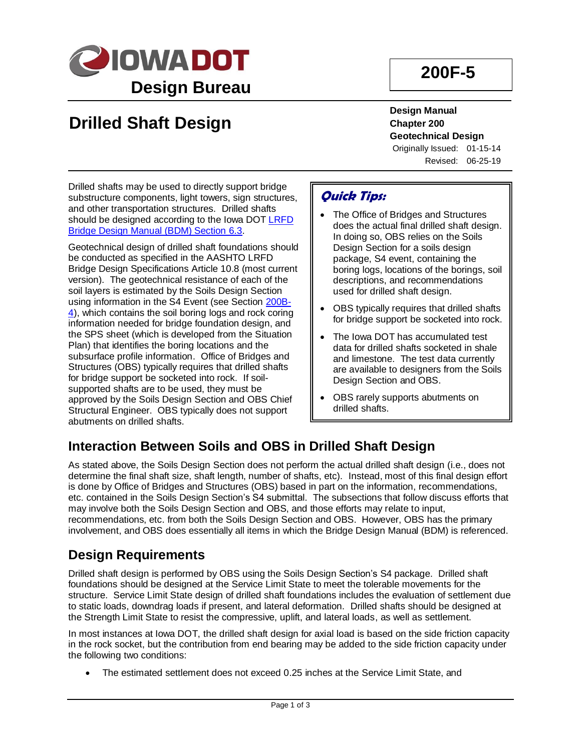

## **200F-5**

# **Drilled Shaft Design**

**Design Manual Chapter 200 Geotechnical Design**

Originally Issued: 01-15-14 Revised: 06-25-19

Drilled shafts may be used to directly support bridge substructure components, light towers, sign structures, and other transportation structures. Drilled shafts should be designed according to the Iowa DOT [LRFD](../../bridge/policy/06-03-00DrillShaftLRFD.pdf)  [Bridge Design Manual \(BDM\) Section](../../bridge/policy/06-03-00DrillShaftLRFD.pdf) 6.3.

Geotechnical design of drilled shaft foundations should be conducted as specified in the AASHTO LRFD Bridge Design Specifications Article 10.8 (most current version). The geotechnical resistance of each of the soil layers is estimated by the Soils Design Section using information in the S4 Event (see Section [200B-](200B-04.pdf)[4\)](200B-04.pdf), which contains the soil boring logs and rock coring information needed for bridge foundation design, and the SPS sheet (which is developed from the Situation Plan) that identifies the boring locations and the subsurface profile information. Office of Bridges and Structures (OBS) typically requires that drilled shafts for bridge support be socketed into rock. If soilsupported shafts are to be used, they must be approved by the Soils Design Section and OBS Chief Structural Engineer. OBS typically does not support abutments on drilled shafts.

## **Quick Tips:**

- The Office of Bridges and Structures does the actual final drilled shaft design. In doing so, OBS relies on the Soils Design Section for a soils design package, S4 event, containing the boring logs, locations of the borings, soil descriptions, and recommendations used for drilled shaft design.
- OBS typically requires that drilled shafts for bridge support be socketed into rock.
- The Iowa DOT has accumulated test data for drilled shafts socketed in shale and limestone. The test data currently are available to designers from the Soils Design Section and OBS.
- OBS rarely supports abutments on drilled shafts.

## **Interaction Between Soils and OBS in Drilled Shaft Design**

As stated above, the Soils Design Section does not perform the actual drilled shaft design (i.e., does not determine the final shaft size, shaft length, number of shafts, etc). Instead, most of this final design effort is done by Office of Bridges and Structures (OBS) based in part on the information, recommendations, etc. contained in the Soils Design Section's S4 submittal. The subsections that follow discuss efforts that may involve both the Soils Design Section and OBS, and those efforts may relate to input, recommendations, etc. from both the Soils Design Section and OBS. However, OBS has the primary involvement, and OBS does essentially all items in which the Bridge Design Manual (BDM) is referenced.

## **Design Requirements**

Drilled shaft design is performed by OBS using the Soils Design Section's S4 package. Drilled shaft foundations should be designed at the Service Limit State to meet the tolerable movements for the structure. Service Limit State design of drilled shaft foundations includes the evaluation of settlement due to static loads, downdrag loads if present, and lateral deformation. Drilled shafts should be designed at the Strength Limit State to resist the compressive, uplift, and lateral loads, as well as settlement.

In most instances at Iowa DOT, the drilled shaft design for axial load is based on the side friction capacity in the rock socket, but the contribution from end bearing may be added to the side friction capacity under the following two conditions:

The estimated settlement does not exceed 0.25 inches at the Service Limit State, and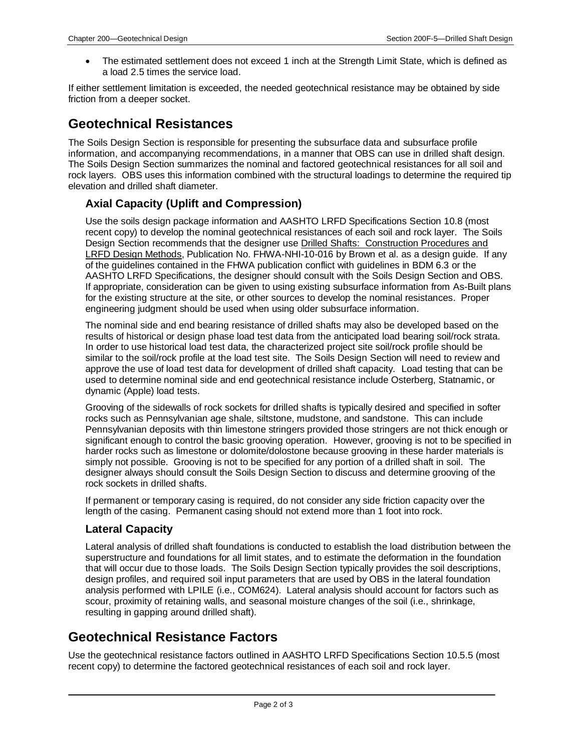• The estimated settlement does not exceed 1 inch at the Strength Limit State, which is defined as a load 2.5 times the service load.

If either settlement limitation is exceeded, the needed geotechnical resistance may be obtained by side friction from a deeper socket.

## **Geotechnical Resistances**

The Soils Design Section is responsible for presenting the subsurface data and subsurface profile information, and accompanying recommendations, in a manner that OBS can use in drilled shaft design. The Soils Design Section summarizes the nominal and factored geotechnical resistances for all soil and rock lavers. OBS uses this information combined with the structural loadings to determine the required tip elevation and drilled shaft diameter.

#### **Axial Capacity (Uplift and Compression)**

Use the soils design package information and AASHTO LRFD Specifications Section 10.8 (most recent copy) to develop the nominal geotechnical resistances of each soil and rock layer. The Soils Design Section recommends that the designer use Drilled Shafts: Construction Procedures and LRFD Design Methods, Publication No. FHWA-NHI-10-016 by Brown et al. as a design guide. If any of the guidelines contained in the FHWA publication conflict with guidelines in BDM 6.3 or the AASHTO LRFD Specifications, the designer should consult with the Soils Design Section and OBS. If appropriate, consideration can be given to using existing subsurface information from As-Built plans for the existing structure at the site, or other sources to develop the nominal resistances. Proper engineering judgment should be used when using older subsurface information.

The nominal side and end bearing resistance of drilled shafts may also be developed based on the results of historical or design phase load test data from the anticipated load bearing soil/rock strata. In order to use historical load test data, the characterized project site soil/rock profile should be similar to the soil/rock profile at the load test site. The Soils Design Section will need to review and approve the use of load test data for development of drilled shaft capacity. Load testing that can be used to determine nominal side and end geotechnical resistance include Osterberg, Statnamic, or dynamic (Apple) load tests.

Grooving of the sidewalls of rock sockets for drilled shafts is typically desired and specified in softer rocks such as Pennsylvanian age shale, siltstone, mudstone, and sandstone. This can include Pennsylvanian deposits with thin limestone stringers provided those stringers are not thick enough or significant enough to control the basic grooving operation. However, grooving is not to be specified in harder rocks such as limestone or dolomite/dolostone because grooving in these harder materials is simply not possible. Grooving is not to be specified for any portion of a drilled shaft in soil. The designer always should consult the Soils Design Section to discuss and determine grooving of the rock sockets in drilled shafts.

If permanent or temporary casing is required, do not consider any side friction capacity over the length of the casing. Permanent casing should not extend more than 1 foot into rock.

#### **Lateral Capacity**

Lateral analysis of drilled shaft foundations is conducted to establish the load distribution between the superstructure and foundations for all limit states, and to estimate the deformation in the foundation that will occur due to those loads. The Soils Design Section typically provides the soil descriptions, design profiles, and required soil input parameters that are used by OBS in the lateral foundation analysis performed with LPILE (i.e., COM624). Lateral analysis should account for factors such as scour, proximity of retaining walls, and seasonal moisture changes of the soil (i.e., shrinkage, resulting in gapping around drilled shaft).

### **Geotechnical Resistance Factors**

Use the geotechnical resistance factors outlined in AASHTO LRFD Specifications Section 10.5.5 (most recent copy) to determine the factored geotechnical resistances of each soil and rock layer.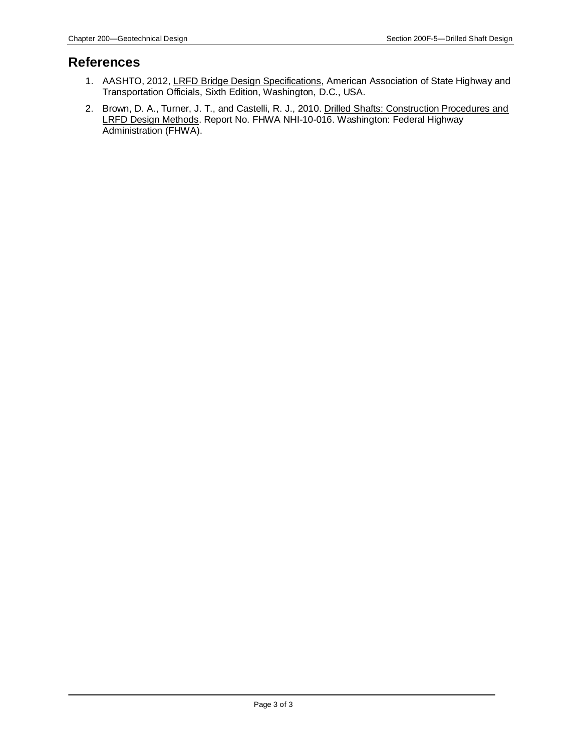#### **References**

- 1. AASHTO, 2012, LRFD Bridge Design Specifications, American Association of State Highway and Transportation Officials, Sixth Edition, Washington, D.C., USA.
- 2. Brown, D. A., Turner, J. T., and Castelli, R. J., 2010. Drilled Shafts: Construction Procedures and LRFD Design Methods. Report No. FHWA NHI-10-016. Washington: Federal Highway Administration (FHWA).